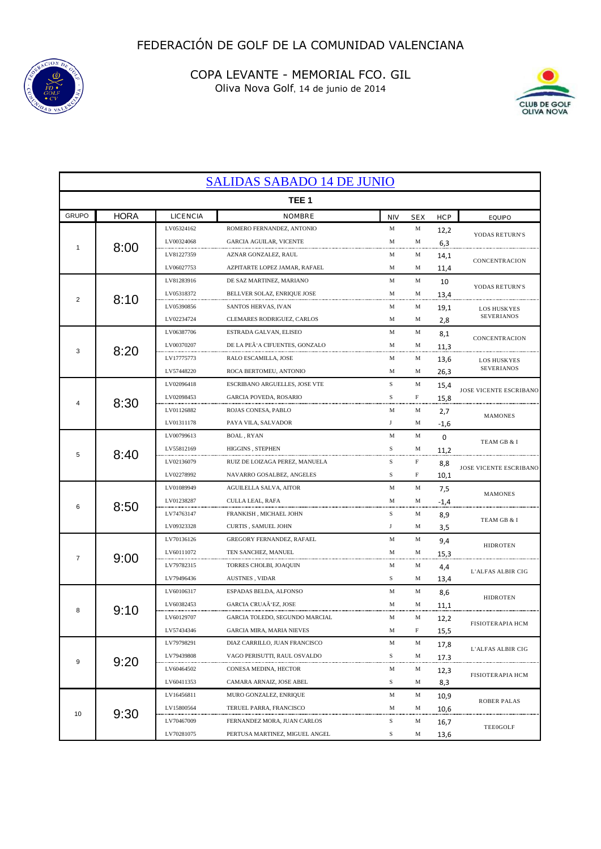



| <b>SALIDAS SABADO 14 DE JUNIO</b> |             |            |                                  |            |            |             |                               |
|-----------------------------------|-------------|------------|----------------------------------|------------|------------|-------------|-------------------------------|
| TEE <sub>1</sub>                  |             |            |                                  |            |            |             |                               |
| <b>GRUPO</b>                      | <b>HORA</b> | LICENCIA   | <b>NOMBRE</b>                    | <b>NIV</b> | <b>SEX</b> | <b>HCP</b>  | <b>EQUIPO</b>                 |
| 1                                 |             | LV05324162 | ROMERO FERNANDEZ, ANTONIO        | M          | М          | 12,2        | YODAS RETURN'S                |
|                                   | 8:00        | LV00324068 | <b>GARCIA AGUILAR, VICENTE</b>   | M          | М          | 6,3         |                               |
|                                   |             | LV81227359 | AZNAR GONZALEZ, RAUL             | M          | М          | 14,1        | CONCENTRACION                 |
|                                   |             | LV06027753 | AZPITARTE LOPEZ JAMAR, RAFAEL    | М          | М          | 11,4        |                               |
|                                   | 8:10        | LV81283916 | DE SAZ MARTINEZ, MARIANO         | M          | М          | 10          | YODAS RETURN'S                |
| 2                                 |             | LV05318372 | BELLVER SOLAZ, ENRIQUE JOSE      | M          | М          | 13,4        |                               |
|                                   |             | LV05390856 | SANTOS HERVAS, IVAN              | М          | М          | 19,1        | <b>LOS HUSKYES</b>            |
|                                   |             | LV02234724 | CLEMARES RODRIGUEZ, CARLOS       | М          | М          | 2,8         | SEVERIANOS                    |
|                                   |             | LV06387706 | ESTRADA GALVAN, ELISEO           | M          | М          | 8,1         | CONCENTRACION                 |
| 3                                 | 8:20        | LV00370207 | DE LA PEÃ'A CIFUENTES, GONZALO   | M          | М          | 11,3        |                               |
|                                   |             | LV17775773 | RALO ESCAMILLA, JOSE             | М          | М          | 13,6        | <b>LOS HUSKYES</b>            |
|                                   |             | LV57448220 | ROCA BERTOMEU, ANTONIO           | М          | M          | 26,3        | <b>SEVERIANOS</b>             |
|                                   |             | LV02096418 | ESCRIBANO ARGUELLES, JOSE VTE    | S          | М          | 15,4        | JOSE VICENTE ESCRIBANO        |
|                                   | 8:30        | LV02098453 | GARCIA POVEDA, ROSARIO           | S          | F          | 15,8        |                               |
|                                   |             | LV01126882 | ROJAS CONESA, PABLO              | М          | M          | 2,7         | <b>MAMONES</b>                |
|                                   |             | LV01311178 | PAYA VILA, SALVADOR              | J          | М          | $-1,6$      |                               |
|                                   |             | LV00799613 | BOAL, RYAN                       | M          | M          | $\mathbf 0$ | TEAM GB & I                   |
| 5                                 | 8:40        | LV55812169 | <b>HIGGINS . STEPHEN</b>         | S          | М          | 11,2        |                               |
|                                   |             | LV02136079 | RUIZ DE LOIZAGA PEREZ, MANUELA   | S          | F          | 8,8         | JOSE VICENTE ESCRIBANO        |
|                                   |             | LV02278992 | NAVARRO GOSALBEZ, ANGELES        | S          | F          | 10,1        |                               |
|                                   | 8:50        | LV01089949 | AGUILELLA SALVA, AITOR           | М          | M          | 7,5         | <b>MAMONES</b><br>TEAM GB & I |
| 6                                 |             | LV01238287 | CULLA LEAL, RAFA                 | M          | M          | $-1,4$      |                               |
|                                   |             | LV74763147 | FRANKISH , MICHAEL JOHN          | S          | М          | 8,9         |                               |
|                                   |             | LV09323328 | CURTIS, SAMUEL JOHN              | $_{\rm J}$ | М          | 3,5         |                               |
|                                   | 9:00        | LV70136126 | <b>GREGORY FERNANDEZ, RAFAEL</b> | M          | M          | 9,4         | <b>HIDROTEN</b>               |
| 7                                 |             | LV60111072 | TEN SANCHEZ, MANUEL              | M          | М          | 15,3        |                               |
|                                   |             | LV79782315 | TORRES CHOLBI, JOAQUIN           | М          | М          | 4,4         | L'ALFAS ALBIR CIG             |
|                                   |             | LV79496436 | AUSTNES, VIDAR                   | S          | М          | 13,4        |                               |
|                                   |             | LV60106317 | ESPADAS BELDA, ALFONSO           | M          | М          | 8,6         | <b>HIDROTEN</b>               |
| 8                                 |             | LV60382453 | GARCIA CRUAÁ 'EZ, JOSE           | М          | М          | 11,1        |                               |
|                                   | 9:10        | LV60129707 | GARCIA TOLEDO, SEGUNDO MARCIAL   | M          | М          | 12,2        |                               |
|                                   |             | LV57434346 | <b>GARCIA MIRA, MARIA NIEVES</b> | M          | F          | 15,5        | FISIOTER APIA HCM             |
| 9                                 | 9:20        | LV79798291 | DIAZ CARRILLO, JUAN FRANCISCO    | M          | М          | 17,8        |                               |
|                                   |             | LV79439808 | VAGO PERISUTTI, RAUL OSVALDO     | S          | М          | 17.3        | L'ALFAS ALBIR CIG             |
|                                   |             | LV60464502 | CONESA MEDINA, HECTOR            | M          | M          | 12,3        |                               |
|                                   |             | LV60411353 | CAMARA ARNAIZ, JOSE ABEL         | S          | М          | 8,3         | <b>FISIOTERAPIA HCM</b>       |
| 10                                | 9:30        | LV16456811 | MURO GONZALEZ, ENRIQUE           | M          | M          | 10,9        |                               |
|                                   |             | LV15800564 | TERUEL PARRA, FRANCISCO          | M          | М          | 10,6        | <b>ROBER PALAS</b>            |
|                                   |             | LV70467009 | FERNANDEZ MORA, JUAN CARLOS      | S          | М          | 16,7        |                               |
|                                   |             | LV70281075 | PERTUSA MARTINEZ, MIGUEL ANGEL   | S          | M          | 13,6        | TEE0GOLF                      |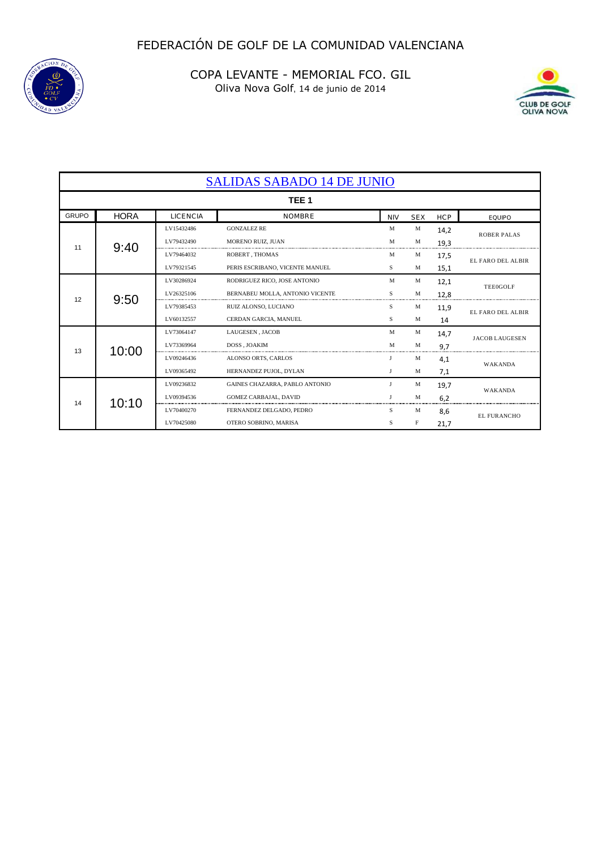



| <b>SALIDAS SABADO 14 DE JUNIO</b> |             |                 |                                 |            |              |            |                       |
|-----------------------------------|-------------|-----------------|---------------------------------|------------|--------------|------------|-----------------------|
| TEE <sub>1</sub>                  |             |                 |                                 |            |              |            |                       |
| <b>GRUPO</b>                      | <b>HORA</b> | <b>LICENCIA</b> | <b>NOMBRE</b>                   | <b>NIV</b> | <b>SEX</b>   | <b>HCP</b> | <b>EQUIPO</b>         |
| 11                                | 9:40        | LV15432486      | <b>GONZALEZ RE</b>              | M          | M            | 14,2       | <b>ROBER PALAS</b>    |
|                                   |             | LV79432490      | MORENO RUIZ, JUAN               | M          | M            | 19,3       |                       |
|                                   |             | LV79464032      | ROBERT, THOMAS                  | M          | М            | 17,5       | EL FARO DEL ALBIR     |
|                                   |             | LV79321545      | PERIS ESCRIBANO, VICENTE MANUEL | S          | M            | 15,1       |                       |
| 12                                | 9:50        | LV30286924      | RODRIGUEZ RICO, JOSE ANTONIO    | M          | M            | 12,1       | <b>TEE0GOLF</b>       |
|                                   |             | LV26325106      | BERNABEU MOLLA. ANTONIO VICENTE | S          | M            | 12,8       |                       |
|                                   |             | LV79385453      | RUIZ ALONSO, LUCIANO            | S          | M            | 11,9       | EL FARO DEL ALBIR     |
|                                   |             | LV60132557      | CERDAN GARCIA, MANUEL           | S          | M            | 14         |                       |
|                                   | 10:00       | LV73064147      | LAUGESEN, JACOB                 | M          | M            | 14.7       | <b>JACOB LAUGESEN</b> |
| 13                                |             | LV73369964      | DOSS, JOAKIM                    | M          | M            | 9.7        |                       |
|                                   |             | LV09246436      | ALONSO ORTS, CARLOS             | J          | M            | 4,1        | <b>WAKANDA</b>        |
|                                   |             | LV09365492      | HERNANDEZ PUJOL, DYLAN          | J          | M            | 7,1        |                       |
| 14                                | 10:10       | LV09236832      | GAINES CHAZARRA, PABLO ANTONIO  | J          | M            | 19,7       | <b>WAKANDA</b>        |
|                                   |             | LV09394536      | <b>GOMEZ CARBAJAL, DAVID</b>    |            | $\mathbf{M}$ | 6,2        |                       |
|                                   |             | LV70400270      | FERNANDEZ DELGADO, PEDRO        | S          | M            | 8.6        | <b>EL FURANCHO</b>    |
|                                   |             | LV70425080      | OTERO SOBRINO, MARISA           | S          | F            | 21,7       |                       |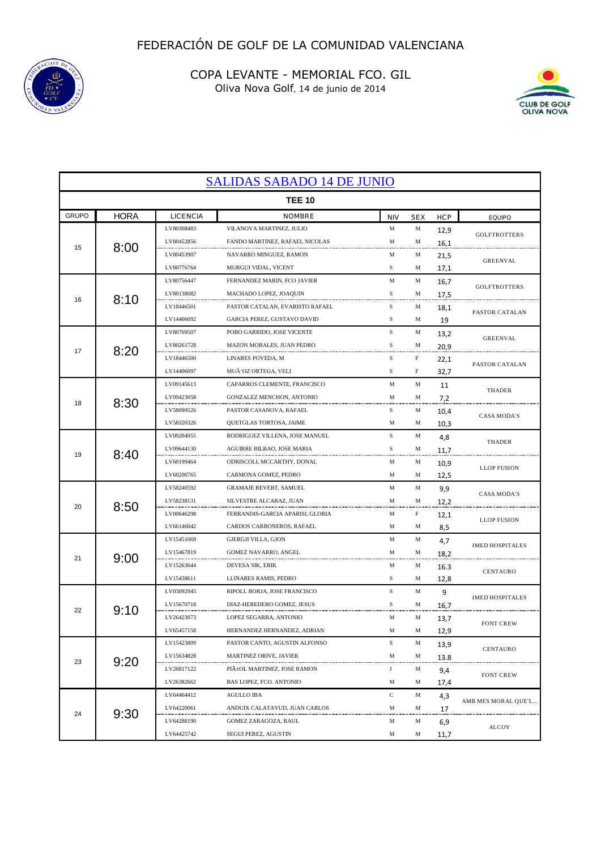



| <b>SALIDAS SABADO 14 DE JUNIO</b> |             |            |                                  |             |             |            |                        |
|-----------------------------------|-------------|------------|----------------------------------|-------------|-------------|------------|------------------------|
| <b>TEE 10</b>                     |             |            |                                  |             |             |            |                        |
| <b>GRUPO</b>                      | <b>HORA</b> | LICENCIA   | NOMBRE                           | <b>NIV</b>  | <b>SEX</b>  | <b>HCP</b> | <b>EQUIPO</b>          |
| 15                                |             | LV80308483 | VILANOVA MARTINEZ, JULIO         | M           | M           | 12,9       | <b>GOLFTROTTERS</b>    |
|                                   | 8:00        | LV80452856 | FANDO MARTINEZ, RAFAEL NICOLAS   | M           | M           | 16,1       |                        |
|                                   |             | LV80453907 | NAVARRO MINGUEZ, RAMON           | M           | M           | 21,5       | <b>GREENVAL</b>        |
|                                   |             | LV80776764 | MURGUI VIDAL, VICENT             | S           | M           | 17,1       |                        |
|                                   | 8:10        | LV80756447 | FERNANDEZ MARIN, FCO JAVIER      | M           | M           | 16,7       | <b>GOLFTROTTERS</b>    |
| 16                                |             | LV80138082 | MACHADO LOPEZ, JOAQUIN           | S           | M           | 17,5       |                        |
|                                   |             | LV18446501 | PASTOR CATALAN, EVARISTO RAFAEL  | S           | M           | 18,1       | PASTOR CATALAN         |
|                                   |             | LV14406092 | GARCIA PEREZ, GUSTAVO DAVID      | S           | M           | 19         |                        |
|                                   |             | LV80769507 | POBO GARRIDO, JOSE VICENTE       | $\mathbf S$ | M           | 13,2       | <b>GREENVAL</b>        |
| 17                                | 8:20        | LV80261728 | MAZON MORALES, JUAN PEDRO        | S           | M           | 20,9       |                        |
|                                   |             | LV18446500 | LINARES POVEDA, M                | S           | $\mathbf F$ | 22,1       | PASTOR CATALAN         |
|                                   |             | LV14406097 | MUÃ'OZ ORTEGA, VELI              | S           | $\mathbf F$ | 32,7       |                        |
|                                   |             | LV09145613 | CAPARROS CLEMENTE, FRANCISCO     | M           | M           | 11         | <b>THADER</b>          |
| 18                                | 8:30        | LV09423058 | GONZALEZ MENCHON, ANTONIO        | M           | M           | 7,2        |                        |
|                                   |             | LV58099526 | PASTOR CASANOVA, RAFAEL          | S           | M           | 10,4       | <b>CASA MODA'S</b>     |
|                                   |             | LV58320326 | QUETGLAS TORTOSA, JAIME          | М           | M           | 10,3       |                        |
|                                   |             | LV09204955 | RODRIGUEZ VILLENA, JOSE MANUEL   | $\mathbf S$ | M           | 4,8        | <b>THADER</b>          |
| 19                                | 8:40        | LV09644130 | AGUIRRE BILBAO, JOSE MARIA       | S           | M           | 11,7       |                        |
|                                   |             | LV60199464 | ODRISCOLL MCCARTHY, DONAL        | М           | M           | 10,9       | <b>LLOP FUSION</b>     |
|                                   |             | LV60200765 | CARMONA GOMEZ, PEDRO             | M           | M           | 12,5       |                        |
|                                   | 8:50        | LV58240592 | <b>GRAMAJE REVERT, SAMUEL</b>    | М           | M           | 9,9        |                        |
| 20                                |             | LV58238131 | SILVESTRE ALCARAZ, JUAN          | M           | M           | 12,2       | <b>CASA MODA'S</b>     |
|                                   |             | LV00646298 | FERRANDIS-GARCIA APARISI, GLORIA | М           | F           | 12,1       |                        |
|                                   |             | LV66146042 | CARDOS CARBONEROS, RAFAEL        | М           | M           | 8,5        | <b>LLOP FUSION</b>     |
|                                   |             | LV15451069 | GJERGJI VILLA, GJON              | M           | M           | 4,7        |                        |
| 21                                |             | LV15467819 | GOMEZ NAVARRO, ANGEL             | M           | M           | 18,2       | <b>IMED HOSPITALES</b> |
|                                   | 9:00        | LV15263644 | DEVESA SIK, ERIK                 | M           | M           | 16.3       |                        |
|                                   |             | LV15438611 | LLINARES RAMIS, PEDRO            | S           | M           | 12,8       | CENTAURO               |
|                                   |             | LV03092945 | RIPOLL BORJA, JOSE FRANCISCO     | $\mathbf S$ | M           | 9          |                        |
|                                   |             | LV15670718 | DIAZ-HEREDERO GOMEZ, JESUS       | S           | M           | 16,7       | <b>IMED HOSPITALES</b> |
| 22                                | 9:10        | LV26423073 | LOPEZ SEGARRA, ANTONIO           | M           | M           | 13,7       |                        |
|                                   |             | LV65457158 | HERNANDEZ HERNANDEZ, ADRIAN      | М           | M           | 12,9       | <b>FONT CREW</b>       |
| 23                                | 9:20        | LV15423809 | PASTOR CANTO, AGUSTIN ALFONSO    | $\mathbf S$ | M           | 13,9       |                        |
|                                   |             | LV15634828 | MARTINEZ ORIVE, JAVIER           | M           | M           | 13.8       | CENTAURO               |
|                                   |             | LV26817122 | PIA±OL MARTINEZ, JOSE RAMON      | J           | M           | 9,4        | <b>FONT CREW</b>       |
|                                   |             | LV26382662 | BAS LOPEZ, FCO. ANTONIO          | М           | M           | 17,4       |                        |
| 24                                | 9:30        | LV64464412 | <b>AGULLO IBA</b>                | $\mathbf C$ | M           | 4,3        |                        |
|                                   |             | LV64220061 | ANDUIX CALATAYUD, JUAN CARLOS    | M           | M           | 17         | AMB MES MORAL QUE'L    |
|                                   |             | LV64288190 | GOMEZ ZARAGOZA, RAUL             | M           | M           | 6,9        |                        |
|                                   |             | LV64425742 | SEGUI PEREZ, AGUSTIN             | М           | M           | 11,7       | <b>ALCOY</b>           |